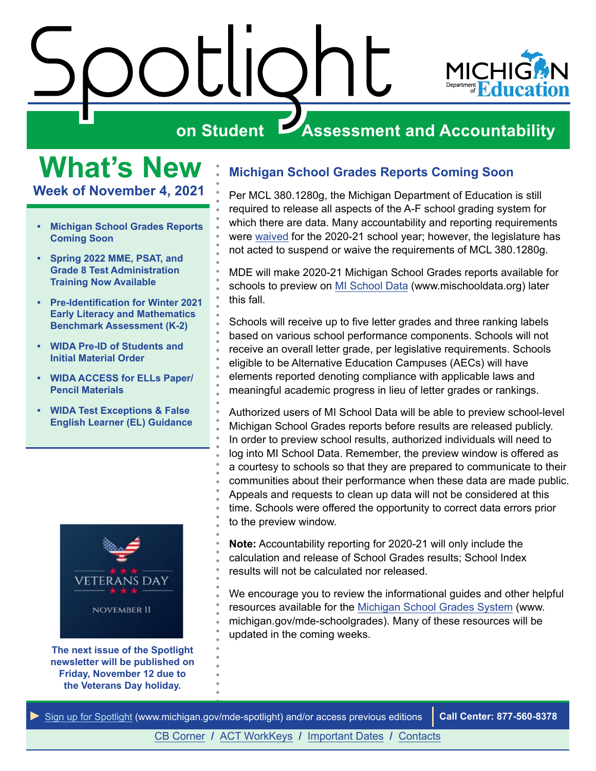

## <span id="page-0-0"></span>**What's New**

**Week of November 4, 2021**

- **• Michigan School Grades Reports Coming Soon**
- **• [Spring 2022 MME, PSAT, and](#page-1-0) [Grade 8 Test Administration](#page-1-0) [Training Now Available](#page-1-0)**
- **• [Pre-Identification for Winter 2021](#page-2-0) [Early Literacy and Mathematics](#page-2-0) [Benchmark Assessment \(K-2\)](#page-2-0)**
- **• [WIDA Pre-ID of Students and](#page-2-0) [Initial Material Order](#page-2-0)**
- **• [WIDA ACCESS for ELLs Paper/](#page-4-0) [Pencil Materials](#page-4-0)**
- **• [WIDA Test Exceptions & False](#page-4-0) [English Learner \(EL\) Guidance](#page-4-0)**



**The next issue of the Spotlight newsletter will be published on Friday, November 12 due to the Veterans Day holiday.**

#### **Michigan School Grades Reports Coming Soon**

Per MCL 380.1280g, the Michigan Department of Education is still required to release all aspects of the A-F school grading system for which there are data. Many accountability and reporting requirements were [waived](https://www.michigan.gov/documents/mde/USED_Waives_Federal_Accountability_720702_7.pdf) for the 2020-21 school year; however, the legislature has not acted to suspend or waive the requirements of MCL 380.1280g.

MDE will make 2020-21 Michigan School Grades reports available for schools to preview on [MI School Data](http://www.mishcooldata.org) (www.mischooldata.org) later this fall.

Schools will receive up to five letter grades and three ranking labels based on various school performance components. Schools will not receive an overall letter grade, per legislative requirements. Schools eligible to be Alternative Education Campuses (AECs) will have elements reported denoting compliance with applicable laws and meaningful academic progress in lieu of letter grades or rankings.

Authorized users of MI School Data will be able to preview school-level Michigan School Grades reports before results are released publicly. In order to preview school results, authorized individuals will need to log into MI School Data. Remember, the preview window is offered as a courtesy to schools so that they are prepared to communicate to their communities about their performance when these data are made public. Appeals and requests to clean up data will not be considered at this time. Schools were offered the opportunity to correct data errors prior to the preview window.

**Note:** Accountability reporting for 2020-21 will only include the calculation and release of School Grades results; School Index results will not be calculated nor released.

We encourage you to review the informational guides and other helpful resources available for the [Michigan School Grades System](http://www.michigan.gov/mde-schoolgrades) (www. michigan.gov/mde-schoolgrades). Many of these resources will be updated in the coming weeks.

*►* [Sign up for Spotlight](https://public.govdelivery.com/accounts/MIMDE/subscriber/new) [\(www.michigan.gov/mde](www.michigan.gov/mde-spotlight)-spotlight) and/or access previous editions **Call Center: 877-560-8378**

[CB Corner](#page-5-0) **/** [ACT WorkKeys](#page-8-0) **/** [Important Dates](#page-9-0) **/** [Contacts](#page-11-0)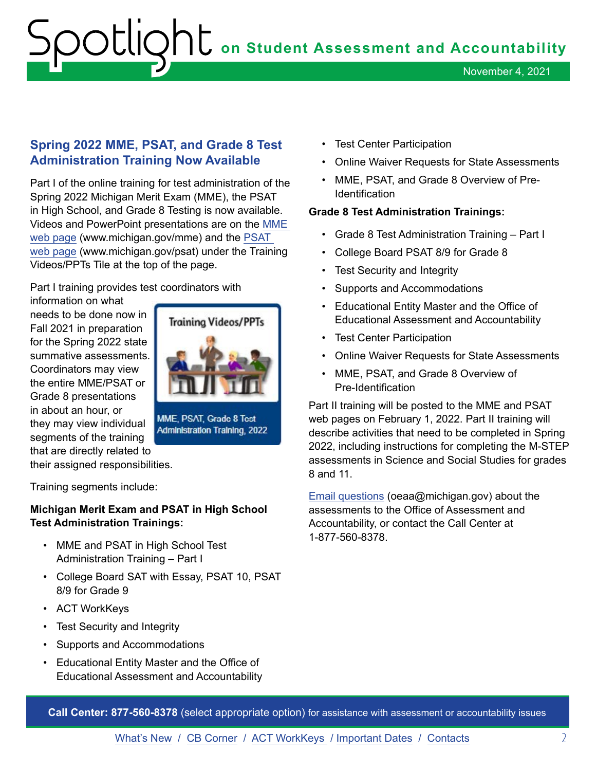November 4, 2021

#### <span id="page-1-0"></span>**Spring 2022 MME, PSAT, and Grade 8 Test Administration Training Now Available**

Part I of the online training for test administration of the Spring 2022 Michigan Merit Exam (MME), the PSAT in High School, and Grade 8 Testing is now available. Videos and PowerPoint presentations are on the [MME](http://www.michigan.gov/mme)  [web page](http://www.michigan.gov/mme) (www.michigan.gov/mme) and the [PSAT](http://www.michigan.gov/psat)  [web page](http://www.michigan.gov/psat) (www.michigan.gov/psat) under the Training Videos/PPTs Tile at the top of the page.

Part I training provides test coordinators with

information on what needs to be done now in Fall 2021 in preparation for the Spring 2022 state summative assessments. Coordinators may view the entire MME/PSAT or Grade 8 presentations in about an hour, or they may view individual segments of the training that are directly related to

their assigned responsibilities.

Training segments include:

#### **Michigan Merit Exam and PSAT in High School Test Administration Trainings:**

- MME and PSAT in High School Test Administration Training – Part I
- College Board SAT with Essay, PSAT 10, PSAT 8/9 for Grade 9
- ACT WorkKeys
- Test Security and Integrity
- Supports and Accommodations
- Educational Entity Master and the Office of Educational Assessment and Accountability
- Test Center Participation
- Online Waiver Requests for State Assessments
- MME, PSAT, and Grade 8 Overview of Pre-**Identification**

#### **Grade 8 Test Administration Trainings:**

- Grade 8 Test Administration Training Part I
- College Board PSAT 8/9 for Grade 8
- Test Security and Integrity
- Supports and Accommodations
- Educational Entity Master and the Office of Educational Assessment and Accountability
- Test Center Participation
- Online Waiver Requests for State Assessments
- MME, PSAT, and Grade 8 Overview of Pre-Identification

Part II training will be posted to the MME and PSAT web pages on February 1, 2022. Part II training will describe activities that need to be completed in Spring 2022, including instructions for completing the M-STEP assessments in Science and Social Studies for grades 8 and 11.

[Email questions](mailto:oeaa%40michigan.gov?subject=Assessment%20Testing%20Support%20Request) (oeaa@michigan.gov) about the assessments to the Office of Assessment and Accountability, or contact the Call Center at 1-877-560-8378.

**Call Center: 877-560-8378** (select appropriate option) for assistance with assessment or accountability issues

[What's New](#page-0-0) / [CB Corner](#page-5-0) / [ACT WorkKeys](#page-8-0) / [Important Dates](#page-9-0) / [Contacts](#page-11-0) 2



**Administration Training, 2022**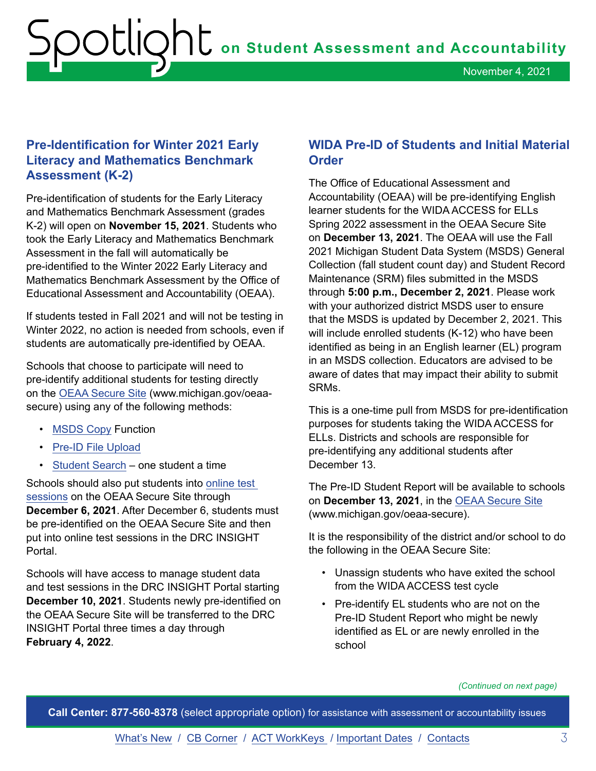#### <span id="page-2-0"></span>**Pre-Identification for Winter 2021 Early Literacy and Mathematics Benchmark Assessment (K-2)**

Pre-identification of students for the Early Literacy and Mathematics Benchmark Assessment (grades K-2) will open on **November 15, 2021**. Students who took the Early Literacy and Mathematics Benchmark Assessment in the fall will automatically be pre-identified to the Winter 2022 Early Literacy and Mathematics Benchmark Assessment by the Office of Educational Assessment and Accountability (OEAA).

If students tested in Fall 2021 and will not be testing in Winter 2022, no action is needed from schools, even if students are automatically pre-identified by OEAA.

Schools that choose to participate will need to pre-identify additional students for testing directly on the [OEAA Secure Site](https://baa.state.mi.us/BAASecure/Login.aspx?enc=sQSIGs0qddc8WQf7JFtN/SpfRkjPVagJieGJfCfA2ZD5TduqOupZF6dMDjOxJNlz) (www.michigan.gov/oeaasecure) using any of the following methods:

- [MSDS Copy](https://www.michigan.gov/documents/mde/MSDS_Copy_579414_7.pdf) Function
- [Pre-ID File Upload](https://www.michigan.gov/documents/mde/Pre-ID_File_Upload_579415_7.pdf)
- [Student Search](https://www.michigan.gov/documents/mde/Student_Search_One_Student_at_a_Time_579416_7.pdf)  one student a time

Schools should also put students into [online test](https://www.michigan.gov/documents/mde/Session_Page_Quick_Reference_2_509973_7.pdf)  [sessions](https://www.michigan.gov/documents/mde/Session_Page_Quick_Reference_2_509973_7.pdf) on the OEAA Secure Site through **December 6, 2021**. After December 6, students must be pre-identified on the OEAA Secure Site and then put into online test sessions in the DRC INSIGHT Portal.

Schools will have access to manage student data and test sessions in the DRC INSIGHT Portal starting **December 10, 2021**. Students newly pre-identified on the OEAA Secure Site will be transferred to the DRC INSIGHT Portal three times a day through **February 4, 2022**.

#### **WIDA Pre-ID of Students and Initial Material Order**

The Office of Educational Assessment and Accountability (OEAA) will be pre-identifying English learner students for the WIDA ACCESS for ELLs Spring 2022 assessment in the OEAA Secure Site on **December 13, 2021**. The OEAA will use the Fall 2021 Michigan Student Data System (MSDS) General Collection (fall student count day) and Student Record Maintenance (SRM) files submitted in the MSDS through **5:00 p.m., December 2, 2021**. Please work with your authorized district MSDS user to ensure that the MSDS is updated by December 2, 2021. This will include enrolled students (K-12) who have been identified as being in an English learner (EL) program in an MSDS collection. Educators are advised to be aware of dates that may impact their ability to submit SRMs.

This is a one-time pull from MSDS for pre-identification purposes for students taking the WIDA ACCESS for ELLs. Districts and schools are responsible for pre-identifying any additional students after December 13.

The Pre-ID Student Report will be available to schools on **December 13, 2021**, in the [OEAA Secure Site](http://www.michigan.gov/oeaa-secure) (www.michigan.gov/oeaa-secure).

It is the responsibility of the district and/or school to do the following in the OEAA Secure Site:

- Unassign students who have exited the school from the WIDA ACCESS test cycle
- Pre-identify EL students who are not on the Pre-ID Student Report who might be newly identified as EL or are newly enrolled in the school

*(Continued on next page)*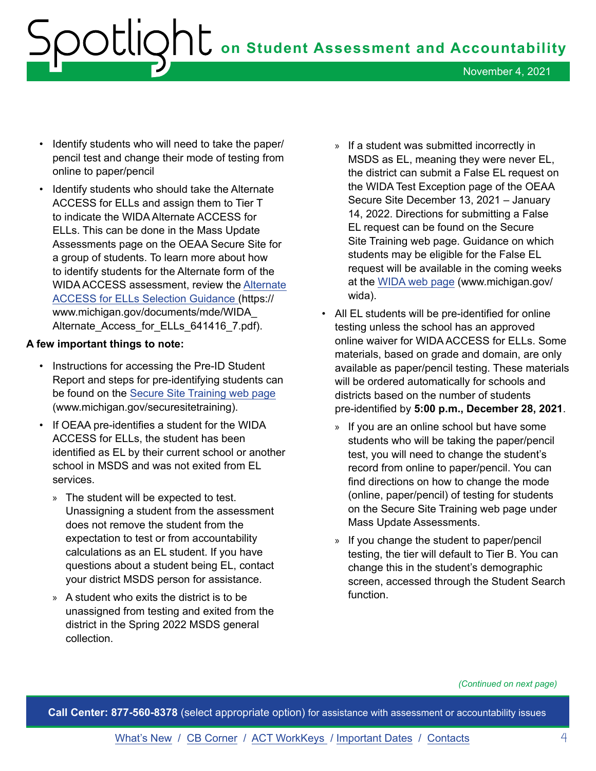- Identify students who will need to take the paper/ pencil test and change their mode of testing from online to paper/pencil
- Identify students who should take the Alternate ACCESS for ELLs and assign them to Tier T to indicate the WIDA Alternate ACCESS for ELLs. This can be done in the Mass Update Assessments page on the OEAA Secure Site for a group of students. To learn more about how to identify students for the Alternate form of the WIDA ACCESS assessment, review the [Alternate](https://www.michigan.gov/documents/mde/WIDA_Alternate_Access_for_ELLs_641416_7.pdf)  [ACCESS for ELLs Selection Guidance \(](https://www.michigan.gov/documents/mde/WIDA_Alternate_Access_for_ELLs_641416_7.pdf)https:// www.michigan.gov/documents/mde/WIDA\_ Alternate Access for ELLs 641416 7.pdf).

#### **A few important things to note:**

- Instructions for accessing the Pre-ID Student Report and steps for pre-identifying students can be found on the [Secure Site Training web page](http://www.michigan.gov/securesitetraining) (www.michigan.gov/securesitetraining).
- If OEAA pre-identifies a student for the WIDA ACCESS for ELLs, the student has been identified as EL by their current school or another school in MSDS and was not exited from EL services.
	- » The student will be expected to test. Unassigning a student from the assessment does not remove the student from the expectation to test or from accountability calculations as an EL student. If you have questions about a student being EL, contact your district MSDS person for assistance.
	- » A student who exits the district is to be unassigned from testing and exited from the district in the Spring 2022 MSDS general collection.
- » If a student was submitted incorrectly in MSDS as EL, meaning they were never EL, the district can submit a False EL request on the WIDA Test Exception page of the OEAA Secure Site December 13, 2021 – January 14, 2022. Directions for submitting a False EL request can be found on the Secure Site Training web page. Guidance on which students may be eligible for the False EL request will be available in the coming weeks at the [WIDA web page](http://www.michigan.gov/wida) (www.michigan.gov/ wida).
- All EL students will be pre-identified for online testing unless the school has an approved online waiver for WIDA ACCESS for ELLs. Some materials, based on grade and domain, are only available as paper/pencil testing. These materials will be ordered automatically for schools and districts based on the number of students pre-identified by **5:00 p.m., December 28, 2021**.
	- » If you are an online school but have some students who will be taking the paper/pencil test, you will need to change the student's record from online to paper/pencil. You can find directions on how to change the mode (online, paper/pencil) of testing for students on the Secure Site Training web page under Mass Update Assessments.
	- » If you change the student to paper/pencil testing, the tier will default to Tier B. You can change this in the student's demographic screen, accessed through the Student Search function.

*(Continued on next page)*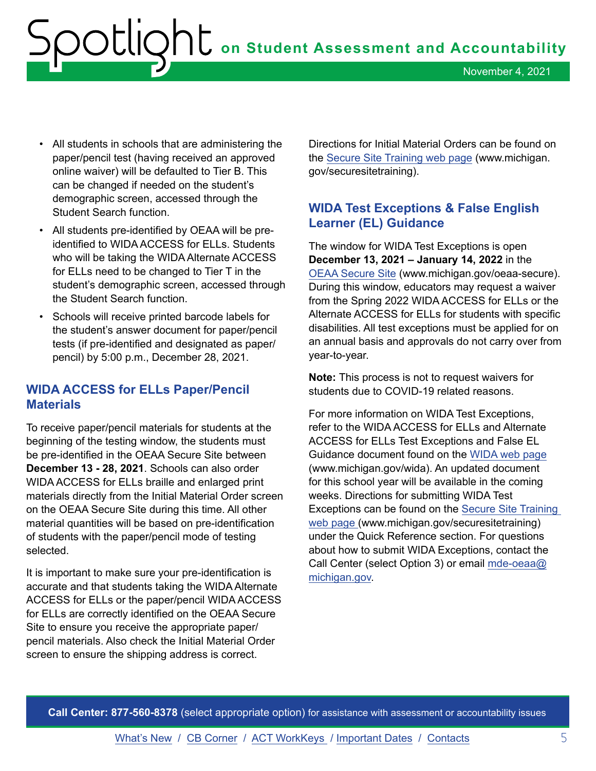- <span id="page-4-0"></span>• All students in schools that are administering the paper/pencil test (having received an approved online waiver) will be defaulted to Tier B. This can be changed if needed on the student's demographic screen, accessed through the Student Search function.
- All students pre-identified by OEAA will be preidentified to WIDA ACCESS for ELLs. Students who will be taking the WIDA Alternate ACCESS for ELLs need to be changed to Tier T in the student's demographic screen, accessed through the Student Search function.
- Schools will receive printed barcode labels for the student's answer document for paper/pencil tests (if pre-identified and designated as paper/ pencil) by 5:00 p.m., December 28, 2021.

#### **WIDA ACCESS for ELLs Paper/Pencil Materials**

To receive paper/pencil materials for students at the beginning of the testing window, the students must be pre-identified in the OEAA Secure Site between **December 13 - 28, 2021**. Schools can also order WIDA ACCESS for ELLs braille and enlarged print materials directly from the Initial Material Order screen on the OEAA Secure Site during this time. All other material quantities will be based on pre-identification of students with the paper/pencil mode of testing selected.

It is important to make sure your pre-identification is accurate and that students taking the WIDA Alternate ACCESS for ELLs or the paper/pencil WIDA ACCESS for ELLs are correctly identified on the OEAA Secure Site to ensure you receive the appropriate paper/ pencil materials. Also check the Initial Material Order screen to ensure the shipping address is correct.

Directions for Initial Material Orders can be found on the [Secure Site Training web pa](http://www.michigan.gov/securesitetraining)ge (www.michigan. gov/securesitetraining).

#### **WIDA Test Exceptions & False English Learner (EL) Guidance**

The window for WIDA Test Exceptions is open **December 13, 2021 – January 14, 2022** in the [OEAA Secure Site](http://www.michigan.gov/oeaa-secure) (www.michigan.gov/oeaa-secure). During this window, educators may request a waiver from the Spring 2022 WIDA ACCESS for ELLs or the Alternate ACCESS for ELLs for students with specific disabilities. All test exceptions must be applied for on an annual basis and approvals do not carry over from year-to-year.

**Note:** This process is not to request waivers for students due to COVID-19 related reasons.

For more information on WIDA Test Exceptions, refer to the WIDA ACCESS for ELLs and Alternate ACCESS for ELLs Test Exceptions and False EL Guidance document found on the [WIDA web page](http://www.michigan.gov/wida) (www.michigan.gov/wida). An updated document for this school year will be available in the coming weeks. Directions for submitting WIDA Test Exceptions can be found on the [Secure Site Training](http://www.michigan.gov/securesitetraining)  [web page](http://www.michigan.gov/securesitetraining) (www.michigan.gov/securesitetraining) under the Quick Reference section. For questions about how to submit WIDA Exceptions, contact the Call Center (select Option 3) or email [mde-oeaa@](mailto:mde-oeaa%40michigan.gov?subject=WIDA%20Test%20Exceptions%20%26%20False%20English%20Learner%20%28EL%29%20Guidance) [michigan.gov](mailto:mde-oeaa%40michigan.gov?subject=WIDA%20Test%20Exceptions%20%26%20False%20English%20Learner%20%28EL%29%20Guidance).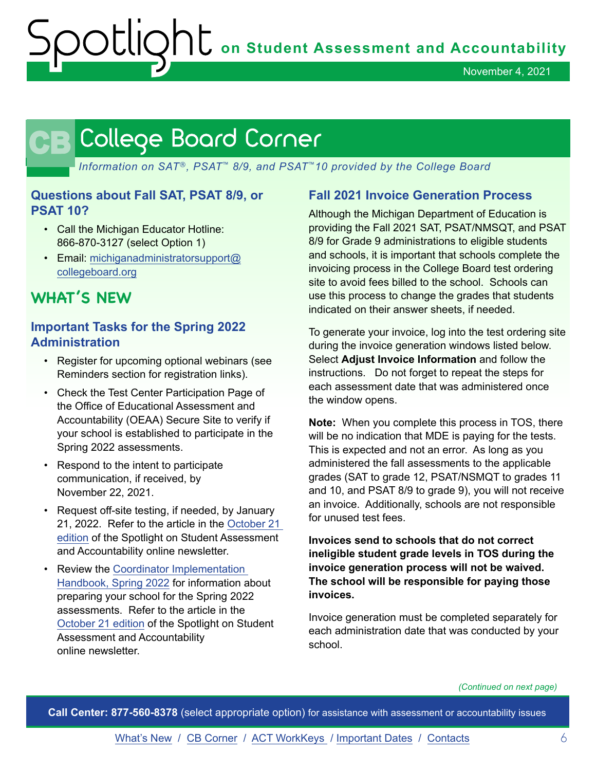### <span id="page-5-0"></span>CB

*Information on SAT*®*, PSAT*™ *8/9, and PSAT*™*10 provided by the College Board*

#### **Questions about Fall SAT, PSAT 8/9, or PSAT 10?**

- Call the Michigan Educator Hotline: 866-870-3127 (select Option 1)
- Email: [michiganadministratorsupport@](mailto:michiganadministratorsupport%40collegeboard.org?subject=) [collegeboard.org](mailto:michiganadministratorsupport%40collegeboard.org?subject=)

#### **WHAT'S NEW**

#### **Important Tasks for the Spring 2022 Administration**

- Register for upcoming optional webinars (see Reminders section for registration links).
- Check the Test Center Participation Page of the Office of Educational Assessment and Accountability (OEAA) Secure Site to verify if your school is established to participate in the Spring 2022 assessments.
- Respond to the intent to participate communication, if received, by November 22, 2021.
- Request off-site testing, if needed, by January 21, 2022. Refer to the article in the [October 21](https://www.michigan.gov/documents/mde/Spotlight_10-21-21_739015_7.pdf)  [edition](https://www.michigan.gov/documents/mde/Spotlight_10-21-21_739015_7.pdf) of the Spotlight on Student Assessment and Accountability online newsletter.
- Review the [Coordinator Implementation](https://www.michigan.gov/documents/mde/2021_Michigan_Coordinator_Implementation_Handbook_706689_7.pdf)  [Handbook, Spring 2022](https://www.michigan.gov/documents/mde/2021_Michigan_Coordinator_Implementation_Handbook_706689_7.pdf) for information about preparing your school for the Spring 2022 assessments. Refer to the article in the [October 21 edition](https://www.michigan.gov/documents/mde/Spotlight_10-21-21_739015_7.pdf) of the Spotlight on Student Assessment and Accountability online newsletter.

#### **Fall 2021 Invoice Generation Process**

Although the Michigan Department of Education is providing the Fall 2021 SAT, PSAT/NMSQT, and PSAT 8/9 for Grade 9 administrations to eligible students and schools, it is important that schools complete the invoicing process in the College Board test ordering site to avoid fees billed to the school. Schools can use this process to change the grades that students indicated on their answer sheets, if needed.

To generate your invoice, log into the test ordering site during the invoice generation windows listed below. Select **Adjust Invoice Information** and follow the instructions. Do not forget to repeat the steps for each assessment date that was administered once the window opens.

**Note:** When you complete this process in TOS, there will be no indication that MDE is paying for the tests. This is expected and not an error. As long as you administered the fall assessments to the applicable grades (SAT to grade 12, PSAT/NSMQT to grades 11 and 10, and PSAT 8/9 to grade 9), you will not receive an invoice. Additionally, schools are not responsible for unused test fees.

**Invoices send to schools that do not correct ineligible student grade levels in TOS during the invoice generation process will not be waived. The school will be responsible for paying those invoices.**

Invoice generation must be completed separately for each administration date that was conducted by your school.

*(Continued on next page)*

**Call Center: 877-560-8378** (select appropriate option) for assistance with assessment or accountability issues

[What's New](#page-0-0) / CB Corner / [ACT WorkKeys](#page-8-0) / [Important Dates](#page-9-0) / [Contacts](#page-11-0) 6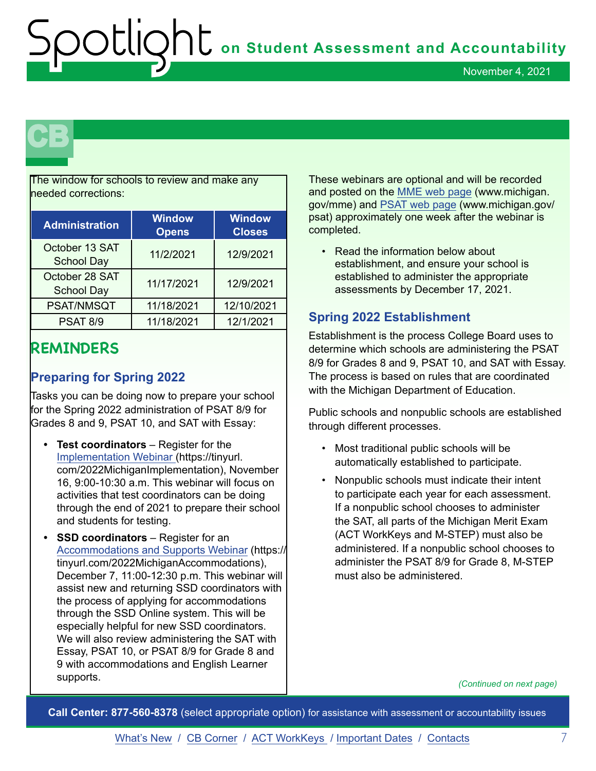## **CB**

The window for schools to review and make any needed corrections:

| <b>Administration</b>               | <b>Window</b><br><b>Opens</b> | <b>Window</b><br><b>Closes</b> |
|-------------------------------------|-------------------------------|--------------------------------|
| October 13 SAT<br><b>School Day</b> | 11/2/2021                     | 12/9/2021                      |
| October 28 SAT<br><b>School Day</b> | 11/17/2021                    | 12/9/2021                      |
| PSAT/NMSQT                          | 11/18/2021                    | 12/10/2021                     |
| <b>PSAT 8/9</b>                     | 11/18/2021                    | 12/1/2021                      |

#### **REMINDERS**

#### **Preparing for Spring 2022**

Tasks you can be doing now to prepare your school for the Spring 2022 administration of PSAT 8/9 for Grades 8 and 9, PSAT 10, and SAT with Essay:

- **• Test coordinators** Register for the [Implementation Webinar \(](https://tinyurl.com/2022MichiganImplementation)https://tinyurl. com/2022MichiganImplementation), November 16, 9:00-10:30 a.m. This webinar will focus on activities that test coordinators can be doing through the end of 2021 to prepare their school and students for testing.
- **• SSD coordinators**  Register for an [Accommodations and Supports Webinar](https://tinyurl.com/2022MichiganAccommodations) (https:// tinyurl.com/2022MichiganAccommodations), December 7, 11:00-12:30 p.m. This webinar will assist new and returning SSD coordinators with the process of applying for accommodations through the SSD Online system. This will be especially helpful for new SSD coordinators. We will also review administering the SAT with Essay, PSAT 10, or PSAT 8/9 for Grade 8 and 9 with accommodations and English Learner supports.

These webinars are optional and will be recorded and posted on the [MME web page](http://www.michigan.gov/mme) (www.michigan. gov/mme) and [PSAT web page](http://www.michigan.gov/psat) (www.michigan.gov/ psat) approximately one week after the webinar is completed.

• Read the information below about establishment, and ensure your school is established to administer the appropriate assessments by December 17, 2021.

#### **Spring 2022 Establishment**

Establishment is the process College Board uses to determine which schools are administering the PSAT 8/9 for Grades 8 and 9, PSAT 10, and SAT with Essay. The process is based on rules that are coordinated with the Michigan Department of Education.

Public schools and nonpublic schools are established through different processes.

- Most traditional public schools will be automatically established to participate.
- Nonpublic schools must indicate their intent to participate each year for each assessment. If a nonpublic school chooses to administer the SAT, all parts of the Michigan Merit Exam (ACT WorkKeys and M-STEP) must also be administered. If a nonpublic school chooses to administer the PSAT 8/9 for Grade 8, M-STEP must also be administered.

*(Continued on next page)*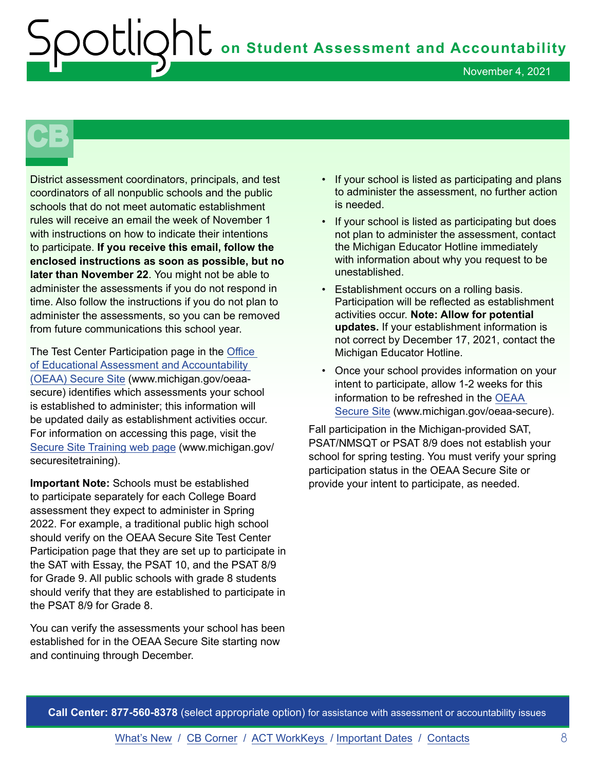November 4, 2021

## **CB**

District assessment coordinators, principals, and test coordinators of all nonpublic schools and the public schools that do not meet automatic establishment rules will receive an email the week of November 1 with instructions on how to indicate their intentions to participate. **If you receive this email, follow the enclosed instructions as soon as possible, but no later than November 22**. You might not be able to administer the assessments if you do not respond in time. Also follow the instructions if you do not plan to administer the assessments, so you can be removed from future communications this school year.

The Test Center Participation page in the [Office](http://www.michigan.gov/oeaa-secure)  [of Educational Assessment and Accountability](http://www.michigan.gov/oeaa-secure)  [\(OEAA\) Secure Site](http://www.michigan.gov/oeaa-secure) (www.michigan.gov/oeaasecure) identifies which assessments your school is established to administer; this information will be updated daily as establishment activities occur. For information on accessing this page, visit the [Secure Site Training web page](http://www.michigan.gov/securesitetraining) (www.michigan.gov/ securesitetraining).

**Important Note:** Schools must be established to participate separately for each College Board assessment they expect to administer in Spring 2022. For example, a traditional public high school should verify on the OEAA Secure Site Test Center Participation page that they are set up to participate in the SAT with Essay, the PSAT 10, and the PSAT 8/9 for Grade 9. All public schools with grade 8 students should verify that they are established to participate in the PSAT 8/9 for Grade 8.

You can verify the assessments your school has been established for in the OEAA Secure Site starting now and continuing through December.

- If your school is listed as participating and plans to administer the assessment, no further action is needed.
- If your school is listed as participating but does not plan to administer the assessment, contact the Michigan Educator Hotline immediately with information about why you request to be unestablished.
- Establishment occurs on a rolling basis. Participation will be reflected as establishment activities occur. **Note: Allow for potential updates.** If your establishment information is not correct by December 17, 2021, contact the Michigan Educator Hotline.
- Once your school provides information on your intent to participate, allow 1-2 weeks for this information to be refreshed in the [OEAA](http://www.michigan.gov/oeaa-secure)  [Secure Site](http://www.michigan.gov/oeaa-secure) (www.michigan.gov/oeaa-secure).

Fall participation in the Michigan-provided SAT, PSAT/NMSQT or PSAT 8/9 does not establish your school for spring testing. You must verify your spring participation status in the OEAA Secure Site or provide your intent to participate, as needed.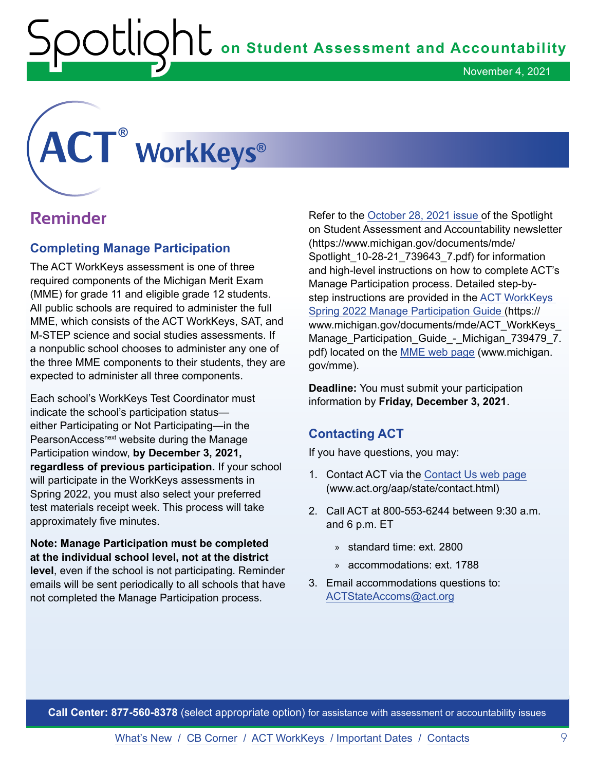#### <span id="page-8-0"></span>**® ®**

#### **Reminder**

#### **Completing Manage Participation**

The ACT WorkKeys assessment is one of three required components of the Michigan Merit Exam (MME) for grade 11 and eligible grade 12 students. All public schools are required to administer the full MME, which consists of the ACT WorkKeys, SAT, and M-STEP science and social studies assessments. If a nonpublic school chooses to administer any one of the three MME components to their students, they are expected to administer all three components.

Each school's WorkKeys Test Coordinator must indicate the school's participation status either Participating or Not Participating—in the PearsonAccess<sup>next</sup> website during the Manage Participation window, **by December 3, 2021, regardless of previous participation.** If your school will participate in the WorkKeys assessments in Spring 2022, you must also select your preferred test materials receipt week. This process will take approximately five minutes.

**Note: Manage Participation must be completed at the individual school level, not at the district level**, even if the school is not participating. Reminder emails will be sent periodically to all schools that have not completed the Manage Participation process.

Refer to the [October 28, 2021 issue o](https://www.michigan.gov/documents/mde/Spotlight_10-28-21_739643_7.pdf)f the Spotlight on Student Assessment and Accountability newsletter (https://www.michigan.gov/documents/mde/ Spotlight\_10-28-21\_739643\_7.pdf) for information and high-level instructions on how to complete ACT's Manage Participation process. Detailed step-bystep instructions are provided in the [ACT WorkKeys](https://www.michigan.gov/documents/mde/ACT_WorkKeys_Manage_Participation_Guide_-_Michigan_739479_7.pdf)  [Spring 2022 Manage Participation Guide](https://www.michigan.gov/documents/mde/ACT_WorkKeys_Manage_Participation_Guide_-_Michigan_739479_7.pdf) (https:// www.michigan.gov/documents/mde/ACT\_WorkKeys\_ Manage Participation Guide - Michigan 739479 7. pdf) located on the [MME web page](http://www.michigan.gov/mme) (www.michigan. gov/mme).

**Deadline:** You must submit your participation information by **Friday, December 3, 2021**.

#### **Contacting ACT**

If you have questions, you may:

- 1. Contact ACT via the [Contact Us web page](http://www.act.org/aap/state/contact.html) (www.act.org/aap/state/contact.html)
- 2. Call ACT at 800-553-6244 between 9:30 a.m. and 6 p.m. ET
	- » standard time: ext. 2800
	- » accommodations: ext. 1788
- 3. Email accommodations questions to: [ACTStateAccoms@act.org](mailto:ACTStateAccoms%40act.org?subject=Requesting%20Assistance)

**Call Center: 877-560-8378** (select appropriate option) for assistance with assessment or accountability issues

[What's New](#page-0-0) / [CB Corner](#page-5-0) / ACT WorkKeys / [Important Dates](#page-9-0) / [Contacts](#page-11-0) 9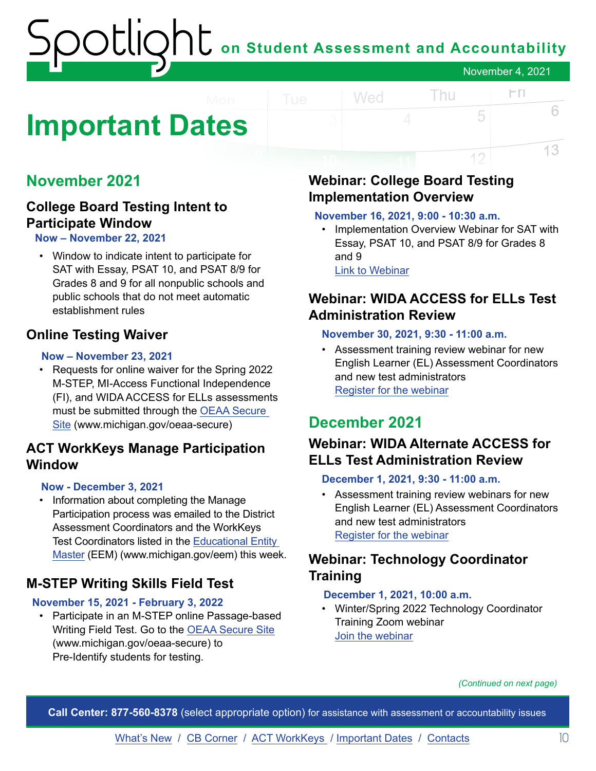### <span id="page-9-0"></span>**Important Dates**

#### **November 2021**

#### **College Board Testing Intent to Participate Window**

**Now – November 22, 2021**

• Window to indicate intent to participate for SAT with Essay, PSAT 10, and PSAT 8/9 for Grades 8 and 9 for all nonpublic schools and public schools that do not meet automatic establishment rules

#### **Online Testing Waiver**

#### **Now – November 23, 2021**

• Requests for online waiver for the Spring 2022 M-STEP, MI-Access Functional Independence (FI), and WIDA ACCESS for ELLs assessments must be submitted through the [OEAA Secure](http://www.michigan.gov/oeaa-secure)  [Site](http://www.michigan.gov/oeaa-secure) (www.michigan.gov/oeaa-secure)

#### **ACT WorkKeys Manage Participation Window**

#### **Now - December 3, 2021**

• Information about completing the Manage Participation process was emailed to the District Assessment Coordinators and the WorkKeys Test Coordinators listed in the [Educational Entity](http://www.michigan.gov/eem)  [Master](http://www.michigan.gov/eem) (EEM) (www.michigan.gov/eem) this week.

#### **M-STEP Writing Skills Field Test**

#### **November 15, 2021 - February 3, 2022**

• Participate in an M-STEP online Passage-based Writing Field Test. Go to the [OEAA Secure Site](http://www.michigan.gov/oeaa-secure) (www.michigan.gov/oeaa-secure) to Pre-Identify students for testing.

#### **Webinar: College Board Testing Implementation Overview**

#### **November 16, 2021, 9:00 - 10:30 a.m.**

Wed

• Implementation Overview Webinar for SAT with Essay, PSAT 10, and PSAT 8/9 for Grades 8 and 9 [Link to Webinar](https://tinyurl.com/2022MichiganImplementation)

Thu

 $\Gamma$ 

5

12

6

13

#### **Webinar: WIDA ACCESS for ELLs Test Administration Review**

#### **November 30, 2021, 9:30 - 11:00 a.m.**

• Assessment training review webinar for new English Learner (EL) Assessment Coordinators and new test administrators R[egister for the webinar](https://wida-access-for-ells-ta-review-webinar.eventbrite.com)

#### **December 2021**

#### **Webinar: WIDA Alternate ACCESS for ELLs Test Administration Review**

#### **December 1, 2021, 9:30 - 11:00 a.m.**

• Assessment training review webinars for new English Learner (EL) Assessment Coordinators and new test administrators R[egister for the webinar](https://wida-alternate-access-ta-review-webinar.eventbrite.com)

#### **Webinar: Technology Coordinator Training**

#### **December 1, 2021, 10:00 a.m.**

• Winter/Spring 2022 Technology Coordinator Training Zoom webinar [Join the webinar](https://datarecognitioncorp.zoom.us/j/84084055143)

*(Continued on next page)*

**Call Center: 877-560-8378** (select appropriate option) for assistance with assessment or accountability issues

[What's New](#page-0-0) / [CB Corner](#page-5-0) / [ACT WorkKeys](#page-8-0) / [Important Dates](#page-9-0) / [Contacts](#page-11-0) 10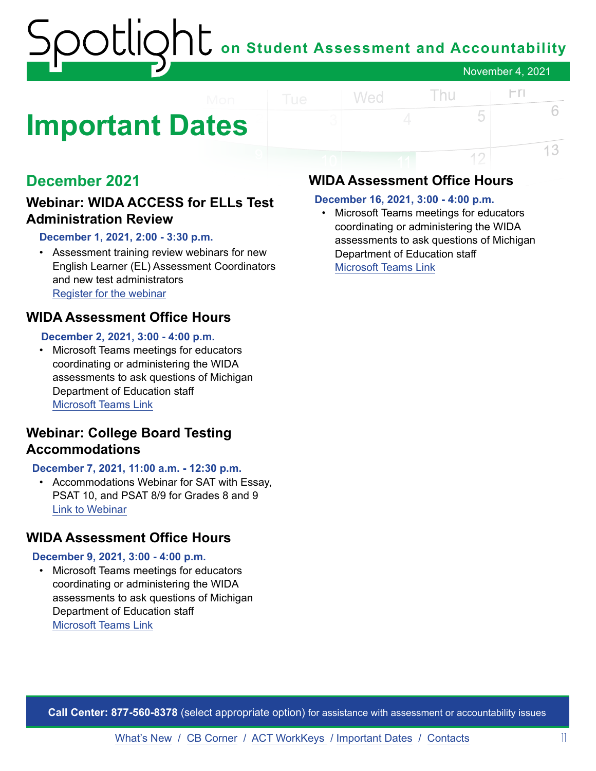### **Important Dates**

#### **December 2021**

#### **Webinar: WIDA ACCESS for ELLs Test Administration Review**

#### **December 1, 2021, 2:00 - 3:30 p.m.**

• Assessment training review webinars for new English Learner (EL) Assessment Coordinators and new test administrators R[egister for the webinar](https://kindergarten-access-for-ells-ta-review-webinar.eventbrite.com)

#### **WIDA Assessment Office Hours**

#### **December 2, 2021, 3:00 - 4:00 p.m.**

• Microsoft Teams meetings for educators coordinating or administering the WIDA assessments to ask questions of Michigan Department of Education staff [Microsoft Teams Link](https://teams.microsoft.com/l/meetup-join/19%3ameeting_ZTI2YjQwZjUtMjU0NC00ZmQ1LWE1YWItNDI2ZjYwN2I1N2E5%40thread.v2/0?context=%7b%22Tid%22%3a%22d5fb7087-3777-42ad-966a-892ef47225d1%22%2c%22Oid%22%3a%221bb5cc60-e637-4bde-a17c-fc156bd19bc2%22%7d)

#### **Webinar: College Board Testing Accommodations**

#### **December 7, 2021, 11:00 a.m. - 12:30 p.m.**

• Accommodations Webinar for SAT with Essay, PSAT 10, and PSAT 8/9 for Grades 8 and 9 [Link to Webinar](https://tinyurl.com/2022MichiganAccommodations)

#### **WIDA Assessment Office Hours**

#### **December 9, 2021, 3:00 - 4:00 p.m.**

• Microsoft Teams meetings for educators coordinating or administering the WIDA assessments to ask questions of Michigan Department of Education staff [Microsoft Teams Link](https://teams.microsoft.com/l/meetup-join/19%3ameeting_ZTI2YjQwZjUtMjU0NC00ZmQ1LWE1YWItNDI2ZjYwN2I1N2E5%40thread.v2/0?context=%7b%22Tid%22%3a%22d5fb7087-3777-42ad-966a-892ef47225d1%22%2c%22Oid%22%3a%221bb5cc60-e637-4bde-a17c-fc156bd19bc2%22%7d)

#### **WIDA Assessment Office Hours**

#### **December 16, 2021, 3:00 - 4:00 p.m.**

Wed

• Microsoft Teams meetings for educators coordinating or administering the WIDA assessments to ask questions of Michigan Department of Education staff [Microsoft Teams Link](https://teams.microsoft.com/l/meetup-join/19%3ameeting_ZTI2YjQwZjUtMjU0NC00ZmQ1LWE1YWItNDI2ZjYwN2I1N2E5%40thread.v2/0?context=%7b%22Tid%22%3a%22d5fb7087-3777-42ad-966a-892ef47225d1%22%2c%22Oid%22%3a%221bb5cc60-e637-4bde-a17c-fc156bd19bc2%22%7d)

Thu

 $\Gamma$ 

5

12

6

13